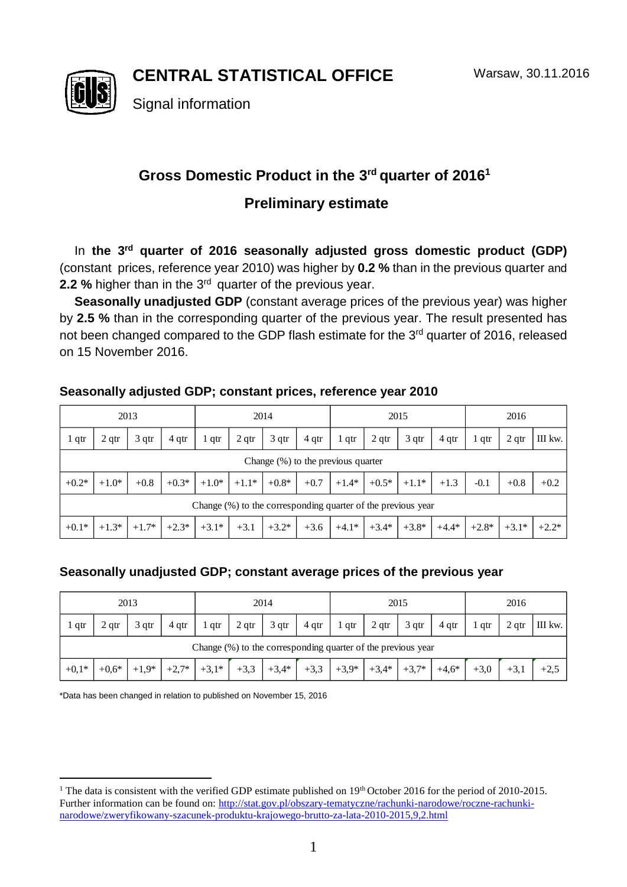**CENTRAL STATISTICAL OFFICE**



Signal information

## Gross Domestic Product in the 3<sup>rd</sup> quarter of 2016<sup>1</sup>

## **Preliminary estimate**

In **the 3 rd quarter of 2016 seasonally adjusted gross domestic product (GDP)** (constant prices, reference year 2010) was higher by **0.2 %** than in the previous quarter and **2.2** % higher than in the 3<sup>rd</sup> quarter of the previous year.

**Seasonally unadjusted GDP** (constant average prices of the previous year) was higher by **2.5 %** than in the corresponding quarter of the previous year. The result presented has not been changed compared to the GDP flash estimate for the 3<sup>rd</sup> quarter of 2016, released on 15 November 2016.

# 1 qtr 2 qtr 3 qtr 4 qtr 1 qtr 2 qtr 3 qtr 4 qtr 1 qtr 2 qtr 3 qtr 4 qtr 1 qtr 2 qtr III kw.  $+0.2^*$  |  $+1.0^*$  |  $+0.8$  |  $+0.3^*$  |  $+1.0^*$  |  $+1.1^*$  |  $+0.8^*$  |  $+0.7$  | $+1.4^*$  |  $+0.5^*$  |  $+1.1^*$  |  $+1.3$  |  $-0.1$  |  $+0.8$  |  $+0.2$ +0.1\* +1.3\* +1.7\* +2.3\* +3.1\* +3.1 +3.2\* +3.6 +4.1\* +3.4\* +3.8\* +4.4\* +2.8\* +3.1\* +2.2\* 2013 2014 2015 2016 Change (%) to the previous quarter Change (%) to the corresponding quarter of the previous year

### **Seasonally adjusted GDP; constant prices, reference year 2010**

#### **Seasonally unadjusted GDP; constant average prices of the previous year**

| 2013    |                                                              |         |         | 2014    |                  |         |        | 2015    |                  |                  |         | 2016   |                  |         |  |
|---------|--------------------------------------------------------------|---------|---------|---------|------------------|---------|--------|---------|------------------|------------------|---------|--------|------------------|---------|--|
| l qtr   | 2 <sub>qtr</sub>                                             | 3 qtr   | 4 qtr   | $1$ qtr | 2 <sub>qtr</sub> | 3 qtr   | 4 qtr  | $1$ qtr | 2 <sub>qtr</sub> | 3 <sub>qtr</sub> | 4 qtr   | qtr    | 2 <sub>qtr</sub> | III kw. |  |
|         | Change (%) to the corresponding quarter of the previous year |         |         |         |                  |         |        |         |                  |                  |         |        |                  |         |  |
| $+0,1*$ | $+0.6*$                                                      | $+1.9*$ | $+2,7*$ | $+3,1*$ | $+3,3$           | $+3,4*$ | $+3,3$ | $+3.9*$ | $+3,4*$          | $+3,7*$          | $+4,6*$ | $+3.0$ | $+3$ .           | $+2,5$  |  |

\*Data has been changed in relation to published on November 15, 2016

<sup>-</sup><sup>1</sup> The data is consistent with the verified GDP estimate published on  $19<sup>th</sup>$  October 2016 for the period of 2010-2015. Further information can be found on: [http://stat.gov.pl/obszary-tematyczne/rachunki-narodowe/roczne-rachunki](http://stat.gov.pl/obszary-tematyczne/rachunki-narodowe/roczne-rachunki-narodowe/zweryfikowany-szacunek-produktu-krajowego-brutto-za-lata-2010-2015,9,2.html)[narodowe/zweryfikowany-szacunek-produktu-krajowego-brutto-za-lata-2010-2015,9,2.html](http://stat.gov.pl/obszary-tematyczne/rachunki-narodowe/roczne-rachunki-narodowe/zweryfikowany-szacunek-produktu-krajowego-brutto-za-lata-2010-2015,9,2.html)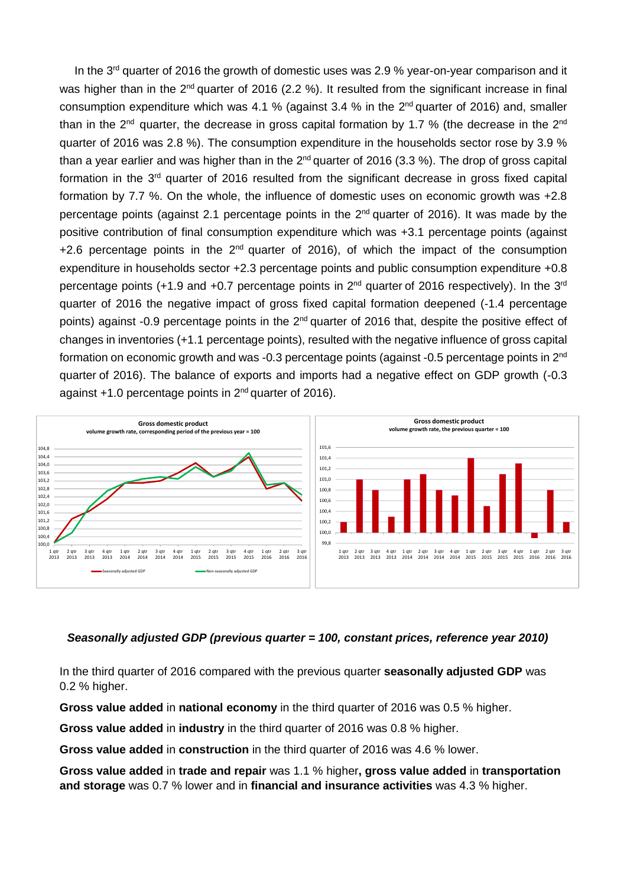In the 3<sup>rd</sup> quarter of 2016 the growth of domestic uses was 2.9 % year-on-year comparison and it was higher than in the 2<sup>nd</sup> quarter of 2016 (2.2 %). It resulted from the significant increase in final consumption expenditure which was 4.1 % (against 3.4 % in the  $2^{nd}$  quarter of 2016) and, smaller than in the 2<sup>nd</sup> quarter, the decrease in gross capital formation by 1.7 % (the decrease in the 2<sup>nd</sup> quarter of 2016 was 2.8 %). The consumption expenditure in the households sector rose by 3.9 % than a year earlier and was higher than in the 2<sup>nd</sup> quarter of 2016 (3.3 %). The drop of gross capital formation in the 3<sup>rd</sup> quarter of 2016 resulted from the significant decrease in gross fixed capital formation by 7.7 %. On the whole, the influence of domestic uses on economic growth was +2.8 percentage points (against 2.1 percentage points in the 2<sup>nd</sup> quarter of 2016). It was made by the positive contribution of final consumption expenditure which was +3.1 percentage points (against  $+2.6$  percentage points in the  $2<sup>nd</sup>$  quarter of 2016), of which the impact of the consumption expenditure in households sector +2.3 percentage points and public consumption expenditure +0.8 percentage points (+1.9 and +0.7 percentage points in 2<sup>nd</sup> quarter of 2016 respectively). In the 3<sup>rd</sup> quarter of 2016 the negative impact of gross fixed capital formation deepened (-1.4 percentage points) against -0.9 percentage points in the  $2<sup>nd</sup>$  quarter of 2016 that, despite the positive effect of changes in inventories (+1.1 percentage points), resulted with the negative influence of gross capital formation on economic growth and was -0.3 percentage points (against -0.5 percentage points in 2<sup>nd</sup> quarter of 2016). The balance of exports and imports had a negative effect on GDP growth (-0.3 against +1.0 percentage points in 2<sup>nd</sup> quarter of 2016).



#### *Seasonally adjusted GDP (previous quarter = 100, constant prices, reference year 2010)*

In the third quarter of 2016 compared with the previous quarter **seasonally adjusted GDP** was 0.2 % higher.

**Gross value added** in **national economy** in the third quarter of 2016 was 0.5 % higher.

**Gross value added** in **industry** in the third quarter of 2016 was 0.8 % higher.

**Gross value added** in **construction** in the third quarter of 2016 was 4.6 % lower.

**Gross value added** in **trade and repair** was 1.1 % higher**, gross value added** in **transportation and storage** was 0.7 % lower and in **financial and insurance activities** was 4.3 % higher.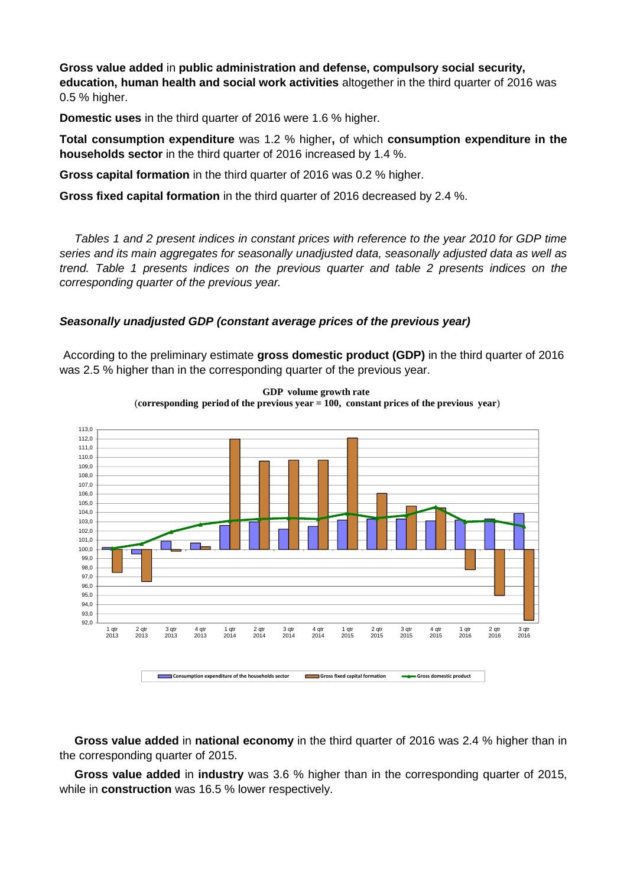**Gross value added** in **public administration and defense, compulsory social security, education, human health and social work activities** altogether in the third quarter of 2016 was 0.5 % higher.

**Domestic uses** in the third quarter of 2016 were 1.6 % higher.

**Total consumption expenditure** was 1.2 % higher**,** of which **consumption expenditure in the households sector** in the third quarter of 2016 increased by 1.4 %.

**Gross capital formation** in the third quarter of 2016 was 0.2 % higher.

**Gross fixed capital formation** in the third quarter of 2016 decreased by 2.4 %.

*Tables 1 and 2 present indices in constant prices with reference to the year 2010 for GDP time series and its main aggregates for seasonally unadjusted data, seasonally adjusted data as well as trend. Table 1 presents indices on the previous quarter and table 2 presents indices on the corresponding quarter of the previous year.* 

#### *Seasonally unadjusted GDP (constant average prices of the previous year)*

According to the preliminary estimate **gross domestic product (GDP)** in the third quarter of 2016 was 2.5 % higher than in the corresponding quarter of the previous year.



**GDP volume growth rate** (**corresponding period of the previous year = 100, constant prices of the previous year**)

**Gross value added** in **national economy** in the third quarter of 2016 was 2.4 % higher than in the corresponding quarter of 2015.

**Gross value added** in **industry** was 3.6 % higher than in the corresponding quarter of 2015, while in **construction** was 16.5 % lower respectively.